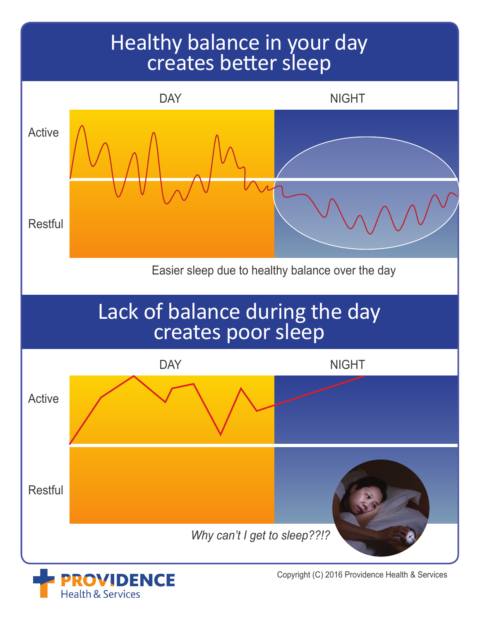## Healthy balance in your day creates better sleep